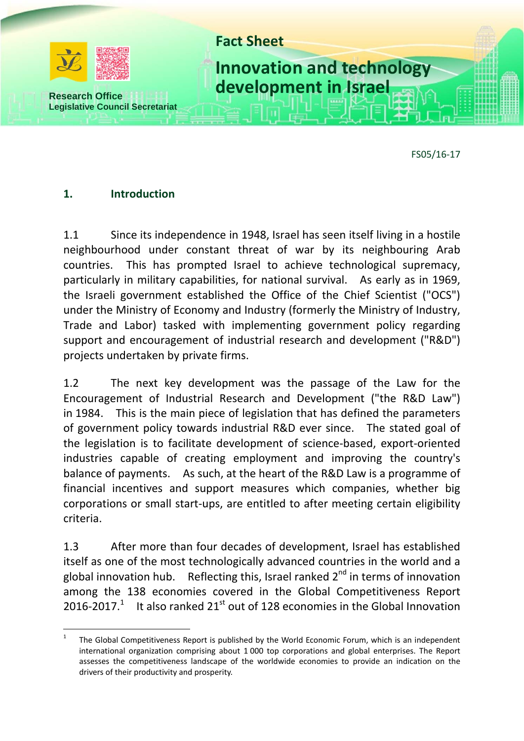

FS05/16-17

#### **1. Introduction**

 $\overline{a}$ 

1.1 Since its independence in 1948, Israel has seen itself living in a hostile neighbourhood under constant threat of war by its neighbouring Arab countries. This has prompted Israel to achieve technological supremacy, particularly in military capabilities, for national survival. As early as in 1969, the Israeli government established the Office of the Chief Scientist ("OCS") under the Ministry of Economy and Industry (formerly the Ministry of Industry, Trade and Labor) tasked with implementing government policy regarding support and encouragement of industrial research and development ("R&D") projects undertaken by private firms.

1.2 The next key development was the passage of the Law for the Encouragement of Industrial Research and Development ("the R&D Law") in 1984. This is the main piece of legislation that has defined the parameters of government policy towards industrial R&D ever since. The stated goal of the legislation is to facilitate development of science-based, export-oriented industries capable of creating employment and improving the country's balance of payments. As such, at the heart of the R&D Law is a programme of financial incentives and support measures which companies, whether big corporations or small start-ups, are entitled to after meeting certain eligibility criteria.

1.3 After more than four decades of development, Israel has established itself as one of the most technologically advanced countries in the world and a global innovation hub. Reflecting this, Israel ranked  $2^{nd}$  in terms of innovation among the 138 economies covered in the Global Competitiveness Report 2016-2017.<sup>1</sup> It also ranked 21<sup>st</sup> out of 128 economies in the Global Innovation

<sup>1</sup> The Global Competitiveness Report is published by the World Economic Forum, which is an independent international organization comprising about 1 000 top corporations and global enterprises. The Report assesses the competitiveness landscape of the worldwide economies to provide an indication on the drivers of their productivity and prosperity.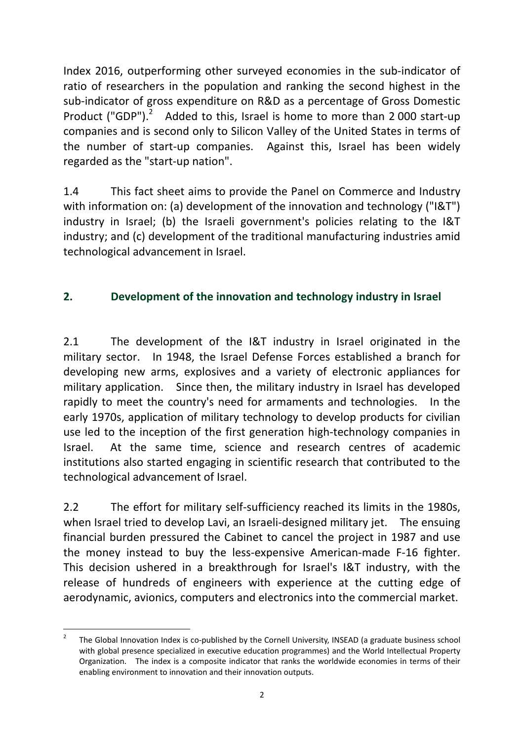Index 2016, outperforming other surveyed economies in the sub-indicator of ratio of researchers in the population and ranking the second highest in the sub-indicator of gross expenditure on R&D as a percentage of Gross Domestic Product ("GDP"). $^2$  Added to this, Israel is home to more than 2000 start-up companies and is second only to Silicon Valley of the United States in terms of the number of start-up companies. Against this, Israel has been widely regarded as the "start-up nation".

1.4 This fact sheet aims to provide the Panel on Commerce and Industry with information on: (a) development of the innovation and technology ("I&T") industry in Israel; (b) the Israeli government's policies relating to the I&T industry; and (c) development of the traditional manufacturing industries amid technological advancement in Israel.

# **2. Development of the innovation and technology industry in Israel**

2.1 The development of the I&T industry in Israel originated in the military sector. In 1948, the Israel Defense Forces established a branch for developing new arms, explosives and a variety of electronic appliances for military application. Since then, the military industry in Israel has developed rapidly to meet the country's need for armaments and technologies. In the early 1970s, application of military technology to develop products for civilian use led to the inception of the first generation high-technology companies in Israel. At the same time, science and research centres of academic institutions also started engaging in scientific research that contributed to the technological advancement of Israel.

2.2 The effort for military self-sufficiency reached its limits in the 1980s, when Israel tried to develop Lavi, an Israeli-designed military jet. The ensuing financial burden pressured the Cabinet to cancel the project in 1987 and use the money instead to buy the less-expensive American-made F-16 fighter. This decision ushered in a breakthrough for Israel's I&T industry, with the release of hundreds of engineers with experience at the cutting edge of aerodynamic, avionics, computers and electronics into the commercial market.

 $\frac{1}{2}$  The Global Innovation Index is co-published by the Cornell University, INSEAD (a graduate business school with global presence specialized in executive education programmes) and the World Intellectual Property Organization. The index is a composite indicator that ranks the worldwide economies in terms of their enabling environment to innovation and their innovation outputs.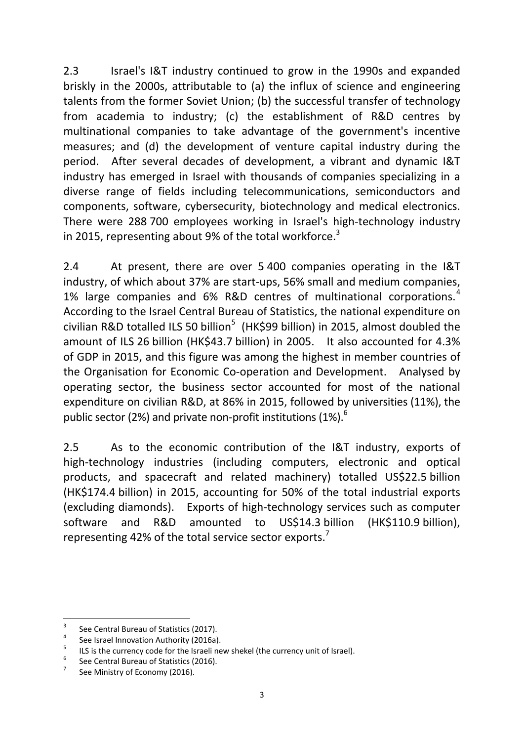2.3 Israel's I&T industry continued to grow in the 1990s and expanded briskly in the 2000s, attributable to (a) the influx of science and engineering talents from the former Soviet Union; (b) the successful transfer of technology from academia to industry; (c) the establishment of R&D centres by multinational companies to take advantage of the government's incentive measures; and (d) the development of venture capital industry during the period. After several decades of development, a vibrant and dynamic I&T industry has emerged in Israel with thousands of companies specializing in a diverse range of fields including telecommunications, semiconductors and components, software, cybersecurity, biotechnology and medical electronics. There were 288 700 employees working in Israel's high-technology industry in 2015, representing about 9% of the total workforce.<sup>3</sup>

2.4 At present, there are over 5 400 companies operating in the I&T industry, of which about 37% are start-ups, 56% small and medium companies, 1% large companies and  $6\%$  R&D centres of multinational corporations.<sup>4</sup> According to the Israel Central Bureau of Statistics, the national expenditure on civilian R&D totalled ILS 50 billion<sup>5</sup> (HK\$99 billion) in 2015, almost doubled the amount of ILS 26 billion (HK\$43.7 billion) in 2005. It also accounted for 4.3% of GDP in 2015, and this figure was among the highest in member countries of the Organisation for Economic Co-operation and Development. Analysed by operating sector, the business sector accounted for most of the national expenditure on civilian R&D, at 86% in 2015, followed by universities (11%), the public sector (2%) and private non-profit institutions (1%). $^{6}$ 

2.5 As to the economic contribution of the I&T industry, exports of high-technology industries (including computers, electronic and optical products, and spacecraft and related machinery) totalled US\$22.5 billion (HK\$174.4 billion) in 2015, accounting for 50% of the total industrial exports (excluding diamonds). Exports of high-technology services such as computer software and R&D amounted to US\$14.3 billion (HK\$110.9 billion), representing 42% of the total service sector exports.<sup>7</sup>

-

<sup>3</sup> See Central Bureau of Statistics (2017).

<sup>4</sup> See Israel Innovation Authority (2016a).

<sup>5</sup> ILS is the currency code for the Israeli new shekel (the currency unit of Israel).

<sup>6</sup> See Central Bureau of Statistics (2016).

<sup>7</sup> See Ministry of Economy (2016).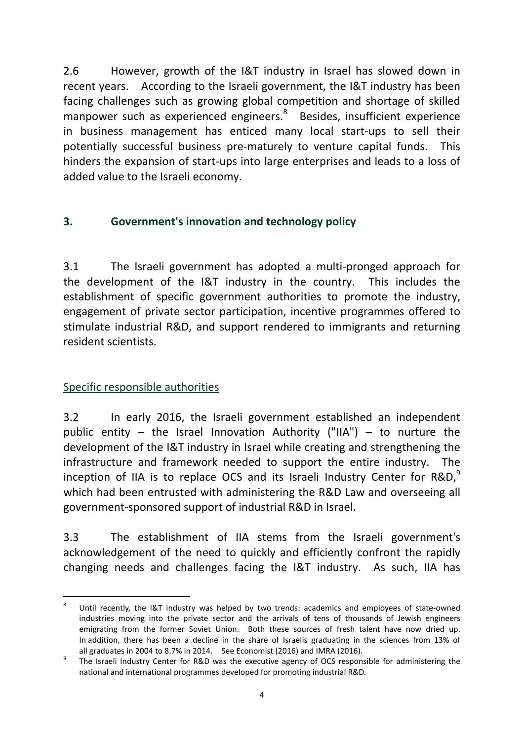2.6 However, growth of the I&T industry in Israel has slowed down in recent years. According to the Israeli government, the I&T industry has been facing challenges such as growing global competition and shortage of skilled manpower such as experienced engineers.<sup>8</sup> Besides, insufficient experience in business management has enticed many local start-ups to sell their potentially successful business pre-maturely to venture capital funds. This hinders the expansion of start-ups into large enterprises and leads to a loss of added value to the Israeli economy.

# **3. Government's innovation and technology policy**

3.1 The Israeli government has adopted a multi-pronged approach for the development of the I&T industry in the country. This includes the establishment of specific government authorities to promote the industry, engagement of private sector participation, incentive programmes offered to stimulate industrial R&D, and support rendered to immigrants and returning resident scientists.

## Specific responsible authorities

3.2 In early 2016, the Israeli government established an independent public entity – the Israel Innovation Authority ("IIA") – to nurture the development of the I&T industry in Israel while creating and strengthening the infrastructure and framework needed to support the entire industry. The inception of IIA is to replace OCS and its Israeli Industry Center for  $R&D$ ,<sup>9</sup> which had been entrusted with administering the R&D Law and overseeing all government-sponsored support of industrial R&D in Israel.

3.3 The establishment of IIA stems from the Israeli government's acknowledgement of the need to quickly and efficiently confront the rapidly changing needs and challenges facing the I&T industry. As such, IIA has

 $\frac{1}{8}$  Until recently, the I&T industry was helped by two trends: academics and employees of state-owned industries moving into the private sector and the arrivals of tens of thousands of Jewish engineers emigrating from the former Soviet Union. Both these sources of fresh talent have now dried up. In addition, there has been a decline in the share of Israelis graduating in the sciences from 13% of all graduates in 2004 to 8.7% in 2014. See Economist (2016) and IMRA (2016).

The Israeli Industry Center for R&D was the executive agency of OCS responsible for administering the national and international programmes developed for promoting industrial R&D.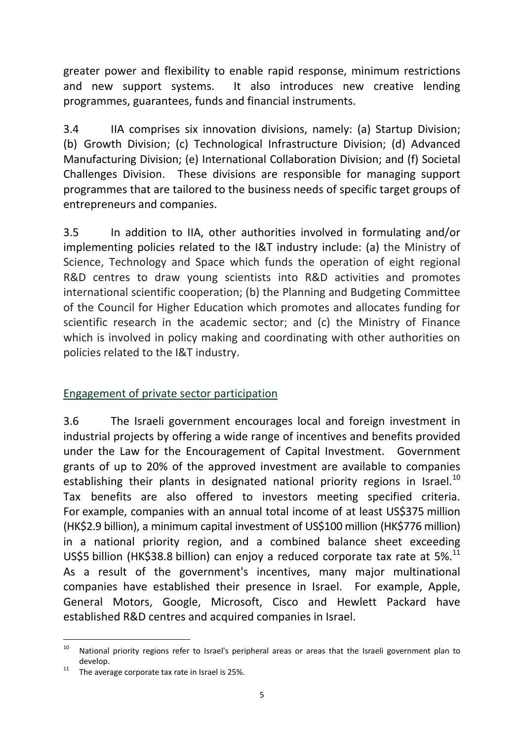greater power and flexibility to enable rapid response, minimum restrictions and new support systems. It also introduces new creative lending programmes, guarantees, funds and financial instruments.

3.4 IIA comprises six innovation divisions, namely: (a) Startup Division; (b) Growth Division; (c) Technological Infrastructure Division; (d) Advanced Manufacturing Division; (e) International Collaboration Division; and (f) Societal Challenges Division. These divisions are responsible for managing support programmes that are tailored to the business needs of specific target groups of entrepreneurs and companies.

3.5 In addition to IIA, other authorities involved in formulating and/or implementing policies related to the I&T industry include: (a) the Ministry of Science, Technology and Space which funds the operation of eight regional R&D centres to draw young scientists into R&D activities and promotes international scientific cooperation; (b) the Planning and Budgeting Committee of the Council for Higher Education which promotes and allocates funding for scientific research in the academic sector; and (c) the Ministry of Finance which is involved in policy making and coordinating with other authorities on policies related to the I&T industry.

## Engagement of private sector participation

3.6 The Israeli government encourages local and foreign investment in industrial projects by offering a wide range of incentives and benefits provided under the Law for the Encouragement of Capital Investment. Government grants of up to 20% of the approved investment are available to companies establishing their plants in designated national priority regions in Israel.<sup>10</sup> Tax benefits are also offered to investors meeting specified criteria. For example, companies with an annual total income of at least US\$375 million (HK\$2.9 billion), a minimum capital investment of US\$100 million (HK\$776 million) in a national priority region, and a combined balance sheet exceeding US\$5 billion (HK\$38.8 billion) can enjoy a reduced corporate tax rate at 5%.<sup>11</sup> As a result of the government's incentives, many major multinational companies have established their presence in Israel. For example, Apple, General Motors, Google, Microsoft, Cisco and Hewlett Packard have established R&D centres and acquired companies in Israel.

-

<sup>&</sup>lt;sup>10</sup> National priority regions refer to Israel's peripheral areas or areas that the Israeli government plan to develop.<br><sup>11</sup> The average corporate tax rate in Israel is 25%.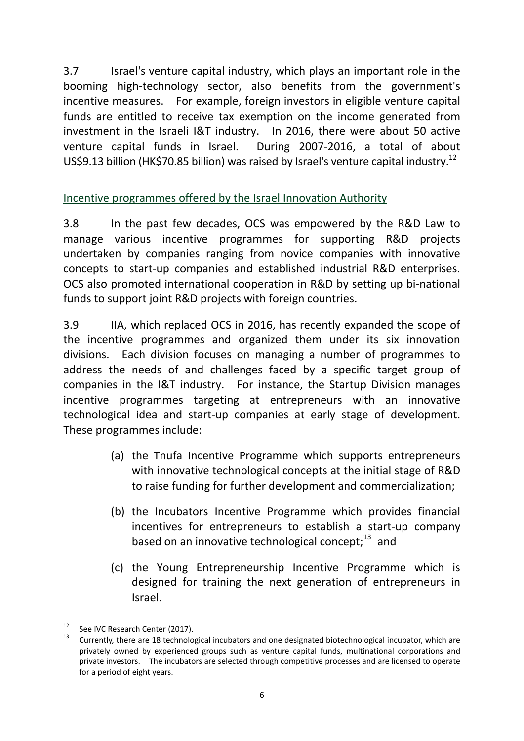3.7 Israel's venture capital industry, which plays an important role in the booming high-technology sector, also benefits from the government's incentive measures. For example, foreign investors in eligible venture capital funds are entitled to receive tax exemption on the income generated from investment in the Israeli I&T industry. In 2016, there were about 50 active venture capital funds in Israel. During 2007-2016, a total of about US\$9.13 billion (HK\$70.85 billion) was raised by Israel's venture capital industry.<sup>12</sup>

# Incentive programmes offered by the Israel Innovation Authority

3.8 In the past few decades, OCS was empowered by the R&D Law to manage various incentive programmes for supporting R&D projects undertaken by companies ranging from novice companies with innovative concepts to start-up companies and established industrial R&D enterprises. OCS also promoted international cooperation in R&D by setting up bi-national funds to support joint R&D projects with foreign countries.

3.9 IIA, which replaced OCS in 2016, has recently expanded the scope of the incentive programmes and organized them under its six innovation divisions. Each division focuses on managing a number of programmes to address the needs of and challenges faced by a specific target group of companies in the I&T industry. For instance, the Startup Division manages incentive programmes targeting at entrepreneurs with an innovative technological idea and start-up companies at early stage of development. These programmes include:

- (a) the Tnufa Incentive Programme which supports entrepreneurs with innovative technological concepts at the initial stage of R&D to raise funding for further development and commercialization;
- (b) the Incubators Incentive Programme which provides financial incentives for entrepreneurs to establish a start-up company based on an innovative technological concept; $^{13}$  and
- (c) the Young Entrepreneurship Incentive Programme which is designed for training the next generation of entrepreneurs in Israel.

 $12$ See IVC Research Center (2017).

<sup>13</sup> Currently, there are 18 technological incubators and one designated biotechnological incubator, which are privately owned by experienced groups such as venture capital funds, multinational corporations and private investors. The incubators are selected through competitive processes and are licensed to operate for a period of eight years.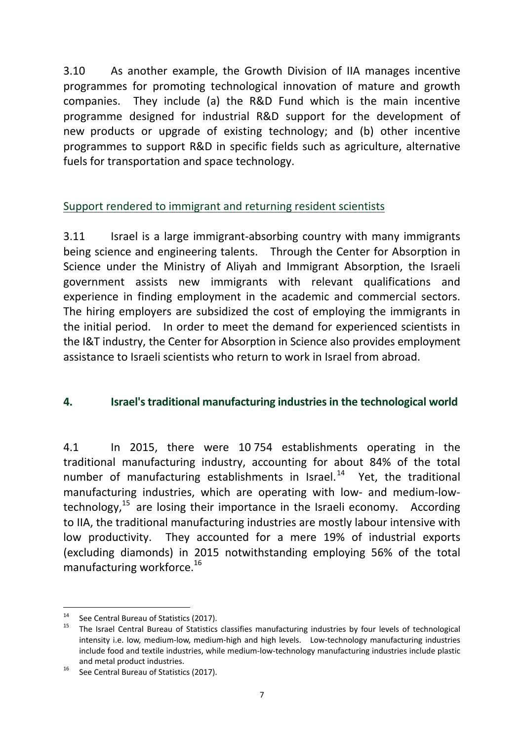3.10 As another example, the Growth Division of IIA manages incentive programmes for promoting technological innovation of mature and growth companies. They include (a) the R&D Fund which is the main incentive programme designed for industrial R&D support for the development of new products or upgrade of existing technology; and (b) other incentive programmes to support R&D in specific fields such as agriculture, alternative fuels for transportation and space technology.

### Support rendered to immigrant and returning resident scientists

3.11 Israel is a large immigrant-absorbing country with many immigrants being science and engineering talents. Through the Center for Absorption in Science under the Ministry of Aliyah and Immigrant Absorption, the Israeli government assists new immigrants with relevant qualifications and experience in finding employment in the academic and commercial sectors. The hiring employers are subsidized the cost of employing the immigrants in the initial period. In order to meet the demand for experienced scientists in the I&T industry, the Center for Absorption in Science also provides employment assistance to Israeli scientists who return to work in Israel from abroad.

#### **4. Israel's traditional manufacturing industries in the technological world**

4.1 In 2015, there were 10 754 establishments operating in the traditional manufacturing industry, accounting for about 84% of the total number of manufacturing establishments in Israel. $14$  Yet, the traditional manufacturing industries, which are operating with low- and medium-lowtechnology, $15$  are losing their importance in the Israeli economy. According to IIA, the traditional manufacturing industries are mostly labour intensive with low productivity. They accounted for a mere 19% of industrial exports (excluding diamonds) in 2015 notwithstanding employing 56% of the total manufacturing workforce.<sup>16</sup>

 $14$ <sup>14</sup> See Central Bureau of Statistics (2017).

<sup>15</sup> The Israel Central Bureau of Statistics classifies manufacturing industries by four levels of technological intensity i.e. low, medium-low, medium-high and high levels. Low-technology manufacturing industries include food and textile industries, while medium-low-technology manufacturing industries include plastic

and metal product industries.<br><sup>16</sup> See Central Bureau of Statistics (2017).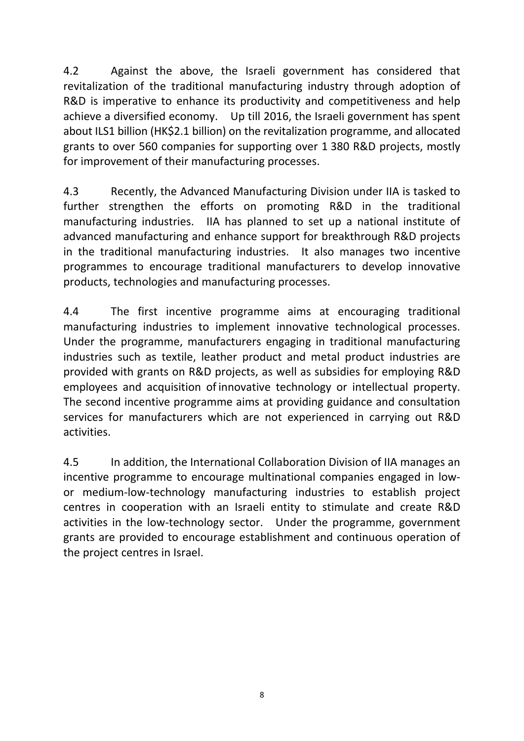4.2 Against the above, the Israeli government has considered that revitalization of the traditional manufacturing industry through adoption of R&D is imperative to enhance its productivity and competitiveness and help achieve a diversified economy. Up till 2016, the Israeli government has spent about ILS1 billion (HK\$2.1 billion) on the revitalization programme, and allocated grants to over 560 companies for supporting over 1 380 R&D projects, mostly for improvement of their manufacturing processes.

4.3 Recently, the Advanced Manufacturing Division under IIA is tasked to further strengthen the efforts on promoting R&D in the traditional manufacturing industries. IIA has planned to set up a national institute of advanced manufacturing and enhance support for breakthrough R&D projects in the traditional manufacturing industries. It also manages two incentive programmes to encourage traditional manufacturers to develop innovative products, technologies and manufacturing processes.

4.4 The first incentive programme aims at encouraging traditional manufacturing industries to implement innovative technological processes. Under the programme, manufacturers engaging in traditional manufacturing industries such as textile, leather product and metal product industries are provided with grants on R&D projects, as well as subsidies for employing R&D employees and acquisition of innovative technology or intellectual property. The second incentive programme aims at providing guidance and consultation services for manufacturers which are not experienced in carrying out R&D activities.

4.5 In addition, the International Collaboration Division of IIA manages an incentive programme to encourage multinational companies engaged in lowor medium-low-technology manufacturing industries to establish project centres in cooperation with an Israeli entity to stimulate and create R&D activities in the low-technology sector. Under the programme, government grants are provided to encourage establishment and continuous operation of the project centres in Israel.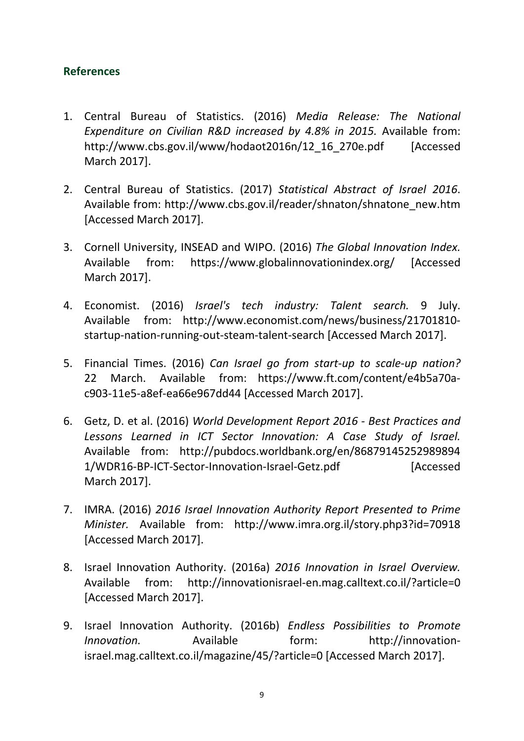### **References**

- 1. Central Bureau of Statistics. (2016) *Media Release: The National Expenditure on Civilian R&D increased by 4.8% in 2015.* Available from: [http://www.cbs.gov.il/www/hodaot2016n/12\\_16\\_270e.pdf](http://www.cbs.gov.il/www/hodaot2016n/12_16_270e.pdf) [Accessed March 2017].
- 2. Central Bureau of Statistics. (2017) *Statistical Abstract of Israel 2016*. Available from: [http://www.cbs.gov.il/reader/shnaton/shnatone\\_new.htm](http://www.cbs.gov.il/reader/shnaton/shnatone_new.htm) [Accessed March 2017].
- 3. Cornell University, INSEAD and WIPO. (2016) *The Global Innovation Index.*  Available from: <https://www.globalinnovationindex.org/> [Accessed March 2017].
- 4. Economist. (2016) *Israel's tech industry: Talent search.* 9 July. Available from: [http://www.economist.com/news/business/21701810](http://www.economist.com/news/business/21701810-startup-nation-running-out-steam-talent-search) [startup-nation-running-out-steam-talent-search](http://www.economist.com/news/business/21701810-startup-nation-running-out-steam-talent-search) [Accessed March 2017].
- 5. Financial Times. (2016) *Can Israel go from start-up to scale-up nation?* 22 March. Available from: [https://www.ft.com/content/e4b5a70a](https://www.ft.com/content/e4b5a70a-c903-11e5-a8ef-ea66e967dd44)[c903-11e5-a8ef-ea66e967dd44](https://www.ft.com/content/e4b5a70a-c903-11e5-a8ef-ea66e967dd44) [Accessed March 2017].
- 6. Getz, D. et al. (2016) *World Development Report 2016 - Best Practices and Lessons Learned in ICT Sector Innovation: A Case Study of Israel.* Available from: [http://pubdocs.worldbank.org/en/86879145252989894](http://pubdocs.worldbank.org/en/868791452529898941/WDR16-BP-ICT-Sector-Innovation-Israel-Getz.pdf) [1/WDR16-BP-ICT-Sector-Innovation-Israel-Getz.pdf](http://pubdocs.worldbank.org/en/868791452529898941/WDR16-BP-ICT-Sector-Innovation-Israel-Getz.pdf) [Accessed March 2017].
- 7. IMRA. (2016) *2016 Israel Innovation Authority Report Presented to Prime Minister.* Available from: <http://www.imra.org.il/story.php3?id=70918> [Accessed March 2017].
- 8. Israel Innovation Authority. (2016a) *2016 Innovation in Israel Overview.*  Available from: <http://innovationisrael-en.mag.calltext.co.il/?article=0> [Accessed March 2017].
- 9. Israel Innovation Authority. (2016b) *Endless Possibilities to Promote Innovation.* Available form: [http://innovation](http://innovation-israel.mag.calltext.co.il/magazine/45/?article=0)[israel.mag.calltext.co.il/magazine/45/?article=0](http://innovation-israel.mag.calltext.co.il/magazine/45/?article=0) [Accessed March 2017].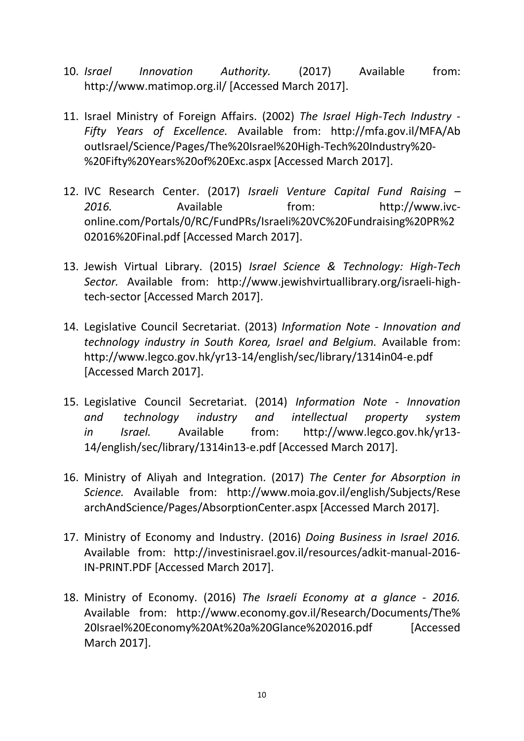- 10. *Israel Innovation Authority.* (2017) Available from: <http://www.matimop.org.il/> [Accessed March 2017].
- 11. Israel Ministry of Foreign Affairs. (2002) *The Israel High-Tech Industry - Fifty Years of Excellence.* Available from: [http://mfa.gov.il/MFA/Ab](http://mfa.gov.il/MFA/AboutIsrael/Science/Pages/The%20Israel%20High-Tech%20Industry%20-%20Fifty%20Years%20of%20Exc.aspx) [outIsrael/Science/Pages/The%20Israel%20High-Tech%20Industry%20-](http://mfa.gov.il/MFA/AboutIsrael/Science/Pages/The%20Israel%20High-Tech%20Industry%20-%20Fifty%20Years%20of%20Exc.aspx) [%20Fifty%20Years%20of%20Exc.aspx](http://mfa.gov.il/MFA/AboutIsrael/Science/Pages/The%20Israel%20High-Tech%20Industry%20-%20Fifty%20Years%20of%20Exc.aspx) [Accessed March 2017].
- 12. IVC Research Center. (2017) *Israeli Venture Capital Fund Raising – 2016.* Available from: [http://www.ivc](http://www.ivc-online.com/Portals/0/RC/FundPRs/Israeli%20VC%20Fundraising%20PR%202016%20Final.pdf)[online.com/Portals/0/RC/FundPRs/Israeli%20VC%20Fundraising%20PR%2](http://www.ivc-online.com/Portals/0/RC/FundPRs/Israeli%20VC%20Fundraising%20PR%202016%20Final.pdf) [02016%20Final.pdf](http://www.ivc-online.com/Portals/0/RC/FundPRs/Israeli%20VC%20Fundraising%20PR%202016%20Final.pdf) [Accessed March 2017].
- 13. Jewish Virtual Library. (2015) *Israel Science & Technology: High-Tech Sector.* Available from: [http://www.jewishvirtuallibrary.org/israeli-high](http://www.jewishvirtuallibrary.org/israeli-high-tech-sector)[tech-sector](http://www.jewishvirtuallibrary.org/israeli-high-tech-sector) [Accessed March 2017].
- 14. Legislative Council Secretariat. (2013) *Information Note - Innovation and technology industry in South Korea, Israel and Belgium.* Available from: <http://www.legco.gov.hk/yr13-14/english/sec/library/1314in04-e.pdf> [Accessed March 2017].
- 15. Legislative Council Secretariat. (2014) *Information Note - Innovation and technology industry and intellectual property system in Israel.* Available from: [http://www.legco.gov.hk/yr13-](http://www.legco.gov.hk/yr13-14/english/sec/library/1314in13-e.pdf) [14/english/sec/library/1314in13-e.pdf \[](http://www.legco.gov.hk/yr13-14/english/sec/library/1314in13-e.pdf)Accessed March 2017].
- 16. Ministry of Aliyah and Integration. (2017) *The Center for Absorption in Science.* Available from: [http://www.moia.gov.il/english/Subjects/Rese](http://www.moia.gov.il/english/Subjects/ResearchAndScience/Pages/AbsorptionCenter.aspx) [archAndScience/Pages/AbsorptionCenter.aspx](http://www.moia.gov.il/english/Subjects/ResearchAndScience/Pages/AbsorptionCenter.aspx) [Accessed March 2017].
- 17. Ministry of Economy and Industry. (2016) *Doing Business in Israel 2016.* Available from: [http://investinisrael.gov.il/resources/adkit-manual-2016-](http://investinisrael.gov.il/resources/adkit-manual-2016-IN-PRINT.PDF) [IN-PRINT.PDF](http://investinisrael.gov.il/resources/adkit-manual-2016-IN-PRINT.PDF) [Accessed March 2017].
- 18. Ministry of Economy. (2016) *The Israeli Economy at a glance - 2016.* Available from: [http://www.economy.gov.il/Research/Documents/The%](http://www.economy.gov.il/Research/Documents/The%20Israel%20Economy%20At%20a%20Glance%202016.pdf) [20Israel%20Economy%20At%20a%20Glance%202016.pdf](http://www.economy.gov.il/Research/Documents/The%20Israel%20Economy%20At%20a%20Glance%202016.pdf) [Accessed March 2017].